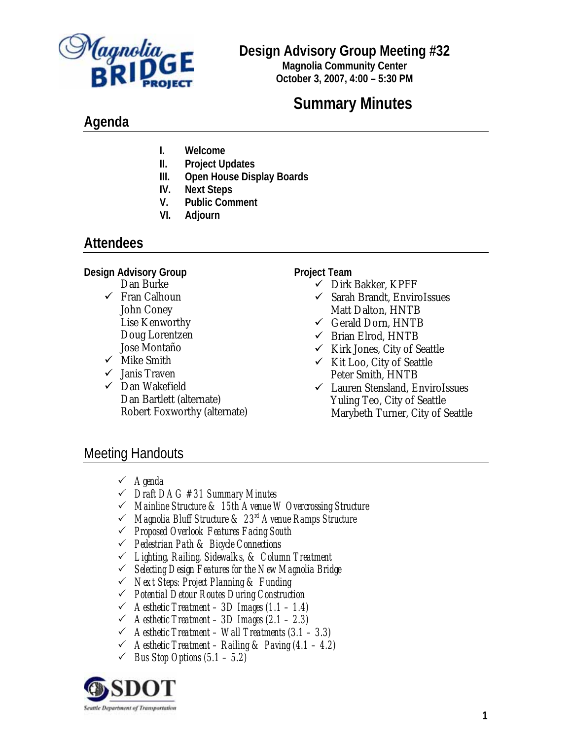

## **Design Advisory Group Meeting #32**

**Magnolia Community Center October 3, 2007, 4:00 – 5:30 PM**

# **Summary Minutes**

# **Agenda**

- **I. Welcome**
- **II. Project Updates**
- **III. Open House Display Boards**
- **IV. Next Steps**
- **V. Public Comment**
- **VI. Adjourn**

# **Attendees**

#### **Design Advisory Group**

- Dan Burke
- $\checkmark$  Fran Calhoun John Coney Lise Kenworthy Doug Lorentzen Jose Montaño
- $\checkmark$  Mike Smith
- $\checkmark$  Janis Traven
- $\checkmark$  Dan Wakefield Dan Bartlett (alternate) Robert Foxworthy (alternate)

**Project Team** 

- $\checkmark$  Dirk Bakker, KPFF
- $\checkmark$  Sarah Brandt, EnviroIssues Matt Dalton, HNTB
- $\checkmark$  Gerald Dorn, HNTB
- $\checkmark$  Brian Elrod, HNTB
- $\checkmark$  Kirk Jones, City of Seattle
- $\checkmark$  Kit Loo, City of Seattle Peter Smith, HNTB
- $\checkmark$  Lauren Stensland, EnviroIssues Yuling Teo, City of Seattle Marybeth Turner, City of Seattle

# Meeting Handouts

- 3 *Agenda*
- 3 *Draft DAG #31 Summary Minutes*
- 3 *Mainline Structure & 15th Avenue W Overcrossing Structure*
- 3 *Magnolia Bluff Structure & 23rd Avenue Ramps Structure*
- 3 *Proposed Overlook Features Facing South*
- 3 *Pedestrian Path & Bicycle Connections*
- 3 *Lighting, Railing, Sidewalks, & Column Treatment*
- 3 *Selecting Design Features for the New Magnolia Bridge*
- 3 *Next Steps: Project Planning & Funding*
- 3 *Potential Detour Routes During Construction*
- 3 *Aesthetic Treatment 3D Images (1.1 1.4)*
- 3 *Aesthetic Treatment 3D Images (2.1 2.3)*
- 3 *Aesthetic Treatment Wall Treatments (3.1 3.3)*
- 3 *Aesthetic Treatment Railing & Paving (4.1 4.2)*
- $\checkmark$  *Bus Stop Options (5.1 5.2)*

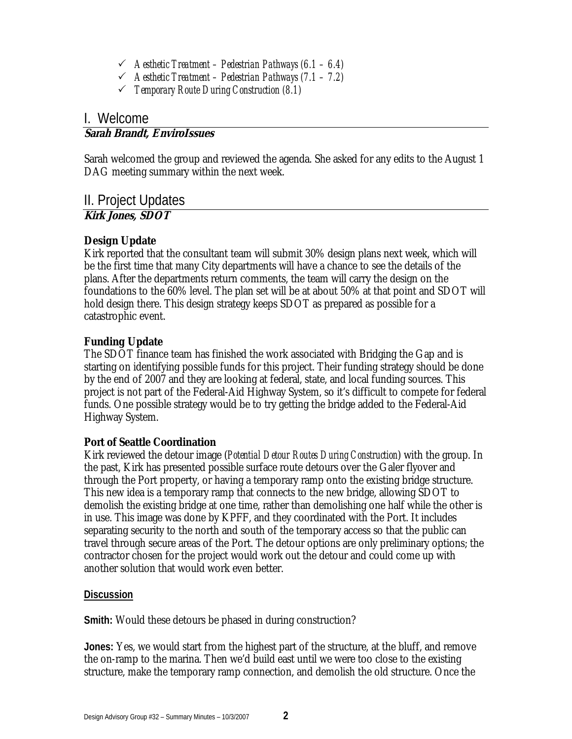- 3 *Aesthetic Treatment Pedestrian Pathways (6.1 6.4)*
- 3 *Aesthetic Treatment Pedestrian Pathways (7.1 7.2)*
- 3 *Temporary Route During Construction (8.1)*

### I. Welcome

### **Sarah Brandt, EnviroIssues**

Sarah welcomed the group and reviewed the agenda. She asked for any edits to the August 1 DAG meeting summary within the next week.

II. Project Updates

#### **Kirk Jones, SDOT**

#### **Design Update**

Kirk reported that the consultant team will submit 30% design plans next week, which will be the first time that many City departments will have a chance to see the details of the plans. After the departments return comments, the team will carry the design on the foundations to the 60% level. The plan set will be at about 50% at that point and SDOT will hold design there. This design strategy keeps SDOT as prepared as possible for a catastrophic event.

#### **Funding Update**

The SDOT finance team has finished the work associated with Bridging the Gap and is starting on identifying possible funds for this project. Their funding strategy should be done by the end of 2007 and they are looking at federal, state, and local funding sources. This project is not part of the Federal-Aid Highway System, so it's difficult to compete for federal funds. One possible strategy would be to try getting the bridge added to the Federal-Aid Highway System.

#### **Port of Seattle Coordination**

Kirk reviewed the detour image (*Potential Detour Routes During Construction*) with the group. In the past, Kirk has presented possible surface route detours over the Galer flyover and through the Port property, or having a temporary ramp onto the existing bridge structure. This new idea is a temporary ramp that connects to the new bridge, allowing SDOT to demolish the existing bridge at one time, rather than demolishing one half while the other is in use. This image was done by KPFF, and they coordinated with the Port. It includes separating security to the north and south of the temporary access so that the public can travel through secure areas of the Port. The detour options are only preliminary options; the contractor chosen for the project would work out the detour and could come up with another solution that would work even better.

#### **Discussion**

**Smith:** Would these detours be phased in during construction?

**Jones:** Yes, we would start from the highest part of the structure, at the bluff, and remove the on-ramp to the marina. Then we'd build east until we were too close to the existing structure, make the temporary ramp connection, and demolish the old structure. Once the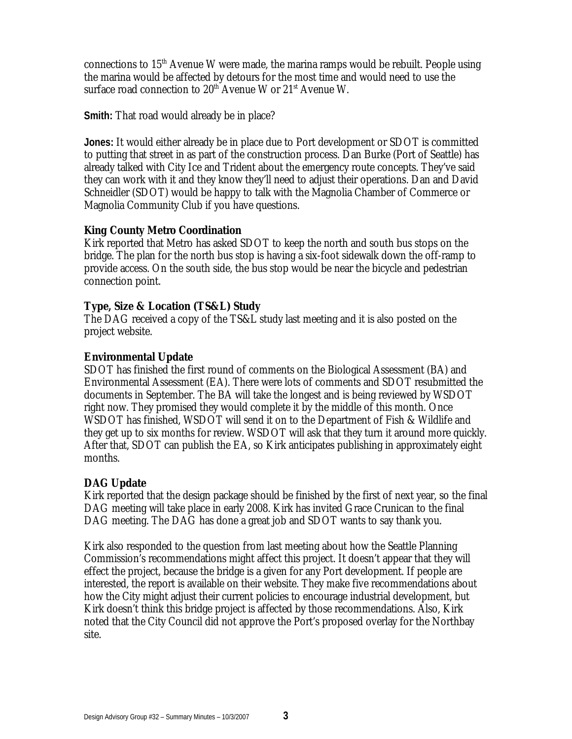connections to  $15<sup>th</sup>$  Avenue W were made, the marina ramps would be rebuilt. People using the marina would be affected by detours for the most time and would need to use the surface road connection to  $20<sup>th</sup>$  Avenue W or  $21<sup>st</sup>$  Avenue W.

**Smith:** That road would already be in place?

**Jones:** It would either already be in place due to Port development or SDOT is committed to putting that street in as part of the construction process. Dan Burke (Port of Seattle) has already talked with City Ice and Trident about the emergency route concepts. They've said they can work with it and they know they'll need to adjust their operations. Dan and David Schneidler (SDOT) would be happy to talk with the Magnolia Chamber of Commerce or Magnolia Community Club if you have questions.

#### **King County Metro Coordination**

Kirk reported that Metro has asked SDOT to keep the north and south bus stops on the bridge. The plan for the north bus stop is having a six-foot sidewalk down the off-ramp to provide access. On the south side, the bus stop would be near the bicycle and pedestrian connection point.

#### **Type, Size & Location (TS&L) Study**

The DAG received a copy of the TS&L study last meeting and it is also posted on the project website.

#### **Environmental Update**

SDOT has finished the first round of comments on the Biological Assessment (BA) and Environmental Assessment (EA). There were lots of comments and SDOT resubmitted the documents in September. The BA will take the longest and is being reviewed by WSDOT right now. They promised they would complete it by the middle of this month. Once WSDOT has finished, WSDOT will send it on to the Department of Fish & Wildlife and they get up to six months for review. WSDOT will ask that they turn it around more quickly. After that, SDOT can publish the EA, so Kirk anticipates publishing in approximately eight months.

#### **DAG Update**

Kirk reported that the design package should be finished by the first of next year, so the final DAG meeting will take place in early 2008. Kirk has invited Grace Crunican to the final DAG meeting. The DAG has done a great job and SDOT wants to say thank you.

Kirk also responded to the question from last meeting about how the Seattle Planning Commission's recommendations might affect this project. It doesn't appear that they will effect the project, because the bridge is a given for any Port development. If people are interested, the report is available on their website. They make five recommendations about how the City might adjust their current policies to encourage industrial development, but Kirk doesn't think this bridge project is affected by those recommendations. Also, Kirk noted that the City Council did not approve the Port's proposed overlay for the Northbay site.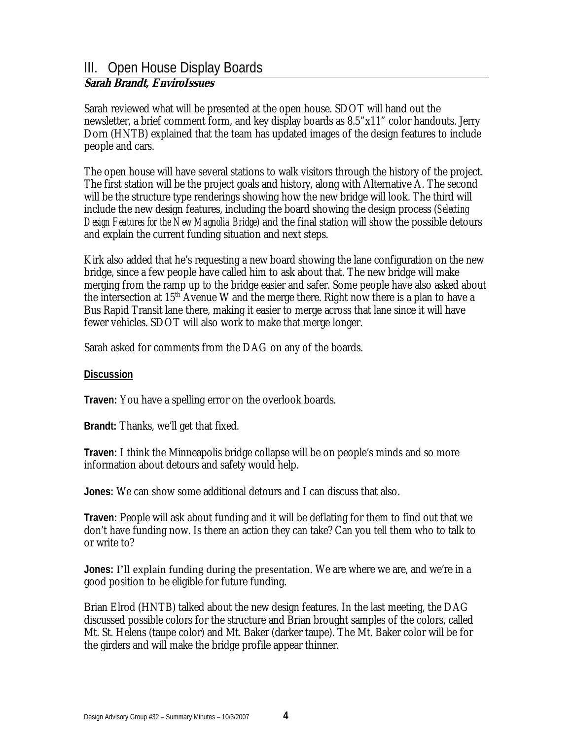#### III. Open House Display Boards **Sarah Brandt, EnviroIssues**

Sarah reviewed what will be presented at the open house. SDOT will hand out the newsletter, a brief comment form, and key display boards as 8.5"x11" color handouts. Jerry Dorn (HNTB) explained that the team has updated images of the design features to include people and cars.

The open house will have several stations to walk visitors through the history of the project. The first station will be the project goals and history, along with Alternative A. The second will be the structure type renderings showing how the new bridge will look. The third will include the new design features, including the board showing the design process (*Selecting Design Features for the New Magnolia Bridge*) and the final station will show the possible detours and explain the current funding situation and next steps.

Kirk also added that he's requesting a new board showing the lane configuration on the new bridge, since a few people have called him to ask about that. The new bridge will make merging from the ramp up to the bridge easier and safer. Some people have also asked about the intersection at  $15<sup>th</sup>$  Avenue W and the merge there. Right now there is a plan to have a Bus Rapid Transit lane there, making it easier to merge across that lane since it will have fewer vehicles. SDOT will also work to make that merge longer.

Sarah asked for comments from the DAG on any of the boards.

#### **Discussion**

**Traven:** You have a spelling error on the overlook boards.

**Brandt:** Thanks, we'll get that fixed.

**Traven:** I think the Minneapolis bridge collapse will be on people's minds and so more information about detours and safety would help.

**Jones:** We can show some additional detours and I can discuss that also.

**Traven:** People will ask about funding and it will be deflating for them to find out that we don't have funding now. Is there an action they can take? Can you tell them who to talk to or write to?

**Jones:** I'll explain funding during the presentation. We are where we are, and we're in a good position to be eligible for future funding.

Brian Elrod (HNTB) talked about the new design features. In the last meeting, the DAG discussed possible colors for the structure and Brian brought samples of the colors, called Mt. St. Helens (taupe color) and Mt. Baker (darker taupe). The Mt. Baker color will be for the girders and will make the bridge profile appear thinner.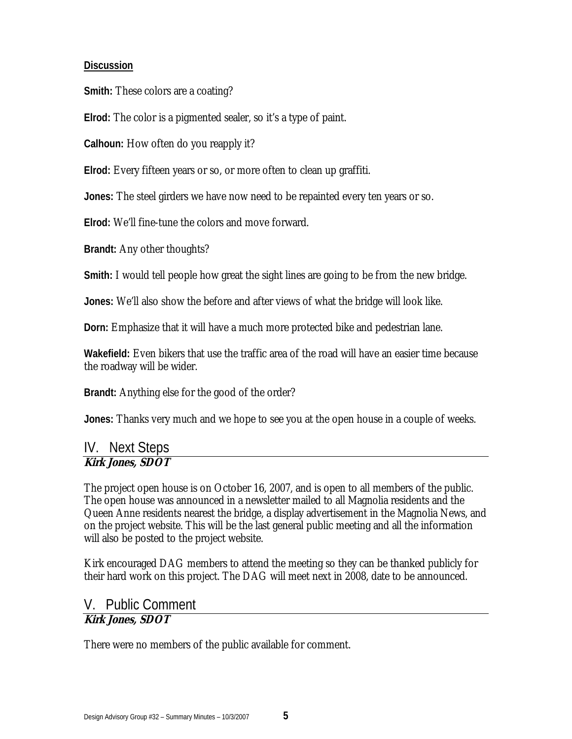#### **Discussion**

**Smith:** These colors are a coating?

**Elrod:** The color is a pigmented sealer, so it's a type of paint.

**Calhoun:** How often do you reapply it?

**Elrod:** Every fifteen years or so, or more often to clean up graffiti.

**Jones:** The steel girders we have now need to be repainted every ten years or so.

**Elrod:** We'll fine-tune the colors and move forward.

**Brandt:** Any other thoughts?

**Smith:** I would tell people how great the sight lines are going to be from the new bridge.

**Jones:** We'll also show the before and after views of what the bridge will look like.

**Dorn:** Emphasize that it will have a much more protected bike and pedestrian lane.

**Wakefield:** Even bikers that use the traffic area of the road will have an easier time because the roadway will be wider.

**Brandt:** Anything else for the good of the order?

**Jones:** Thanks very much and we hope to see you at the open house in a couple of weeks.

#### IV. Next Steps **Kirk Jones, SDOT**

The project open house is on October 16, 2007, and is open to all members of the public. The open house was announced in a newsletter mailed to all Magnolia residents and the Queen Anne residents nearest the bridge, a display advertisement in the Magnolia News, and on the project website. This will be the last general public meeting and all the information will also be posted to the project website.

Kirk encouraged DAG members to attend the meeting so they can be thanked publicly for their hard work on this project. The DAG will meet next in 2008, date to be announced.

#### V. Public Comment **Kirk Jones, SDOT**

There were no members of the public available for comment.